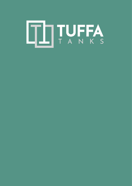# ITUFFA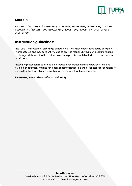

## **Models:**

900SBFP30 / 900SBFP60 / 1100SBFP30 / 1100SBFP60 / 1800SBFP30 / 1800SBFP60 / 2300SBFP30 / 2300SBFP60 / 1350SLBFP30 / 1350SLBFP60 / 1400VBFP30 / 1400VBFP60 / 2500HBFP30 / 2500HBFP60

# **Installation guidelines:**

The Tuffa Fire Protected Tank range of heating oil tanks have been specifically designed, manufactured and independently tested to provide responsibly safe and secure heating oil storage whilst offering the perfect solution to premises with limited space and access restrictions.

These fire protection models enable a reduced separation distance between tank and building or boundary making for a compact installation. It is the proprietor's responsibility to ensure that tank installation complies with all current legal requirements.

### *Please see product declaration of conformity.*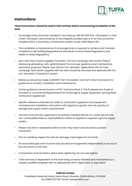

# **Instructions:**

### *These instructions should be read in their entirety before commencing installation of the tank.*

- Oil storage tanks should be installed in accordance with BS 5410 Part 1 (Domestic) or Part 2 (Non-Domestic) and should be of the integrally bunded type or if not they should be installed within a secondary containment system as per CIRIA Report 163.
- The installation & maintenance of oil storage tanks is required to achieve and maintain compliance with Building Regulations & Standards, Environmental Regulations and Health & Safety Regulations.
- Each tank has a factory applied "Domestic" Oil Care Campaign tank sticker (http:// oilcare.org.uk/dealing-with-spills/stickers/) for end user guidance and maintenance instruction purposes. Please note that for non-domestic applications the Oil Care Campaign tank sticker supplied with the tank should be removed and replaced with the non-domestic ("industrial") version.
- Reference should be made to BS5410: Part 1 (Domestic) and Part 2 (Non-Domestic) for guidance on location, installation and maintenance.
- Further guidance can be found in OFTEC Technical Book 3 "The Professional's Guide to Domestic & Commercial Requirements for Oil Storage & Supply Equipment, Serving fixed combustion appliances".
- Specific reference shall also be made to combustion appliance and equipment manufacturers installation instructions with regards to gravity and sub-gravity oil storage and supply system requirements.
- The tank must be fully supported in its entirety, installed directly on a level, secure and non-combustible base or raised platform where an appliance requires a gravity supply system.
- Please note that in exposed locations tanks may need to be secured to prevent movement.
- Prior to installing inspect the tank for damage, if damaged do not install.
- All associated pipe work must be fully secured and supported independently so as not to put any strain on the tank.
- Connections must be held in place when tightening. Do not over tighten.
- Tuffa warranty is dependent on the tank being correctly installed and maintained by a suitably qualified engineer with an appropriate APHC registration or equivalent.

### **Tuffa UK Limited**

Dovefields Industrial Estate, Derby Road, Uttoxeter, Staffordshire, ST14 8SW Tel: 01889 567700 | Email: sales@tuffa.co.uk